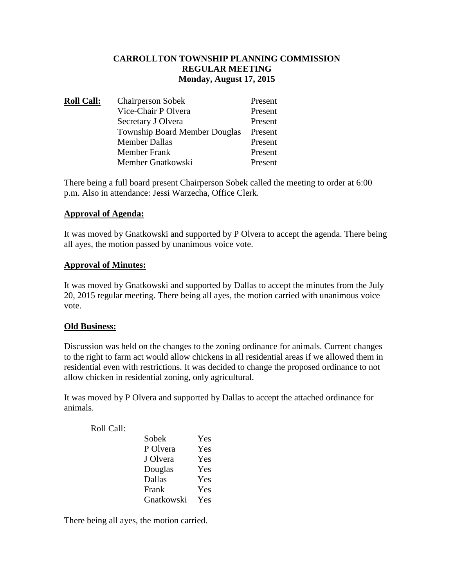# **CARROLLTON TOWNSHIP PLANNING COMMISSION REGULAR MEETING Monday, August 17, 2015**

| <b>Roll Call:</b> | <b>Chairperson Sobek</b>             | Present |
|-------------------|--------------------------------------|---------|
|                   | Vice-Chair P Olvera                  | Present |
|                   | Secretary J Olvera                   | Present |
|                   | <b>Township Board Member Douglas</b> | Present |
|                   | <b>Member Dallas</b>                 | Present |
|                   | <b>Member Frank</b>                  | Present |
|                   | Member Gnatkowski                    | Present |

There being a full board present Chairperson Sobek called the meeting to order at 6:00 p.m. Also in attendance: Jessi Warzecha, Office Clerk.

# **Approval of Agenda:**

It was moved by Gnatkowski and supported by P Olvera to accept the agenda. There being all ayes, the motion passed by unanimous voice vote.

### **Approval of Minutes:**

It was moved by Gnatkowski and supported by Dallas to accept the minutes from the July 20, 2015 regular meeting. There being all ayes, the motion carried with unanimous voice vote.

#### **Old Business:**

Discussion was held on the changes to the zoning ordinance for animals. Current changes to the right to farm act would allow chickens in all residential areas if we allowed them in residential even with restrictions. It was decided to change the proposed ordinance to not allow chicken in residential zoning, only agricultural.

It was moved by P Olvera and supported by Dallas to accept the attached ordinance for animals.

Roll Call:

| Sobek      | Yes |
|------------|-----|
| P Olvera   | Yes |
| J Olvera   | Yes |
| Douglas    | Yes |
| Dallas     | Yes |
| Frank      | Yes |
| Gnatkowski | Yes |

There being all ayes, the motion carried.